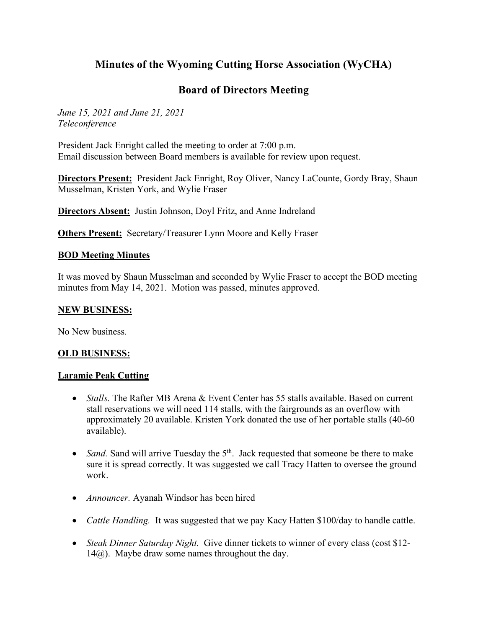# **Minutes of the Wyoming Cutting Horse Association (WyCHA)**

## **Board of Directors Meeting**

*June 15, 2021 and June 21, 2021 Teleconference*

President Jack Enright called the meeting to order at 7:00 p.m. Email discussion between Board members is available for review upon request.

**Directors Present:** President Jack Enright, Roy Oliver, Nancy LaCounte, Gordy Bray, Shaun Musselman, Kristen York, and Wylie Fraser

**Directors Absent:** Justin Johnson, Doyl Fritz, and Anne Indreland

**Others Present:** Secretary/Treasurer Lynn Moore and Kelly Fraser

#### **BOD Meeting Minutes**

It was moved by Shaun Musselman and seconded by Wylie Fraser to accept the BOD meeting minutes from May 14, 2021. Motion was passed, minutes approved.

#### **NEW BUSINESS:**

No New business.

#### **OLD BUSINESS:**

#### **Laramie Peak Cutting**

- *Stalls*. The Rafter MB Arena & Event Center has 55 stalls available. Based on current stall reservations we will need 114 stalls, with the fairgrounds as an overflow with approximately 20 available. Kristen York donated the use of her portable stalls (40-60 available).
- *Sand.* Sand will arrive Tuesday the 5<sup>th</sup>. Jack requested that someone be there to make sure it is spread correctly. It was suggested we call Tracy Hatten to oversee the ground work.
- *Announcer.* Ayanah Windsor has been hired
- *Cattle Handling.* It was suggested that we pay Kacy Hatten \$100/day to handle cattle.
- *Steak Dinner Saturday Night.* Give dinner tickets to winner of every class (cost \$12- 14@).Maybe draw some names throughout the day.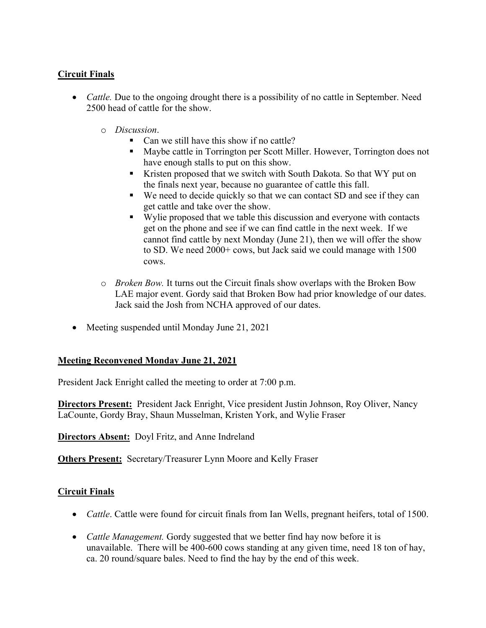## **Circuit Finals**

- *Cattle.* Due to the ongoing drought there is a possibility of no cattle in September. Need 2500 head of cattle for the show.
	- o *Discussion*.
		- Can we still have this show if no cattle?
		- Maybe cattle in Torrington per Scott Miller. However, Torrington does not have enough stalls to put on this show.
		- Kristen proposed that we switch with South Dakota. So that WY put on the finals next year, because no guarantee of cattle this fall.
		- We need to decide quickly so that we can contact SD and see if they can get cattle and take over the show.
		- Wylie proposed that we table this discussion and everyone with contacts get on the phone and see if we can find cattle in the next week. If we cannot find cattle by next Monday (June 21), then we will offer the show to SD. We need 2000+ cows, but Jack said we could manage with 1500 cows.
	- o *Broken Bow.* It turns out the Circuit finals show overlaps with the Broken Bow LAE major event. Gordy said that Broken Bow had prior knowledge of our dates. Jack said the Josh from NCHA approved of our dates.
- Meeting suspended until Monday June 21, 2021

## **Meeting Reconvened Monday June 21, 2021**

President Jack Enright called the meeting to order at 7:00 p.m.

**Directors Present:** President Jack Enright, Vice president Justin Johnson, Roy Oliver, Nancy LaCounte, Gordy Bray, Shaun Musselman, Kristen York, and Wylie Fraser

**Directors Absent:** Doyl Fritz, and Anne Indreland

**Others Present:** Secretary/Treasurer Lynn Moore and Kelly Fraser

## **Circuit Finals**

- *Cattle*. Cattle were found for circuit finals from Ian Wells, pregnant heifers, total of 1500.
- *Cattle Management.* Gordy suggested that we better find hay now before it is unavailable. There will be 400-600 cows standing at any given time, need 18 ton of hay, ca. 20 round/square bales. Need to find the hay by the end of this week.